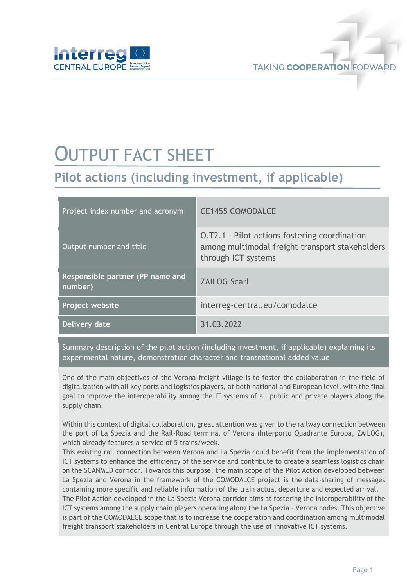

# OUTPUT FACT SHEET

## **Pilot actions (including investment, if applicable)**

| Project index number and acronym            | <b>CE1455 COMODALCE</b>                                                                                                 |
|---------------------------------------------|-------------------------------------------------------------------------------------------------------------------------|
| Output number and title                     | O.T2.1 - Pilot actions fostering coordination<br>among multimodal freight transport stakeholders<br>through ICT systems |
| Responsible partner (PP name and<br>number) | <b>ZAILOG Scarl</b>                                                                                                     |
| Project website                             | interreg-central.eu/comodalce                                                                                           |
| Delivery date                               | 31.03.2022                                                                                                              |

Summary description of the pilot action (including investment, if applicable) explaining its experimental nature, demonstration character and transnational added value

One of the main objectives of the Verona freight village is to foster the collaboration in the field of digitalization with all key ports and logistics players, at both national and European level, with the final goal to improve the interoperability among the IT systems of all public and private players along the supply chain.

Within this context of digital collaboration, great attention was given to the railway connection between the port of La Spezia and the Rail-Road terminal of Verona (Interporto Quadrante Europa, ZAILOG), which already features a service of 5 trains/week.

This existing rail connection between Verona and La Spezia could benefit from the implementation of ICT systems to enhance the efficiency of the service and contribute to create a seamless logistics chain on the SCANMED corridor. Towards this purpose, the main scope of the Pilot Action developed between La Spezia and Verona in the framework of the COMODALCE project is the data-sharing of messages containing more specific and reliable information of the train actual departure and expected arrival.

The Pilot Action developed in the La Spezia Verona corridor aims at fostering the interoperability of the ICT systems among the supply chain players operating along the La Spezia – Verona nodes. This objective is part of the COMODALCE scope that is to increase the cooperation and coordination among multimodal freight transport stakeholders in Central Europe through the use of innovative ICT systems.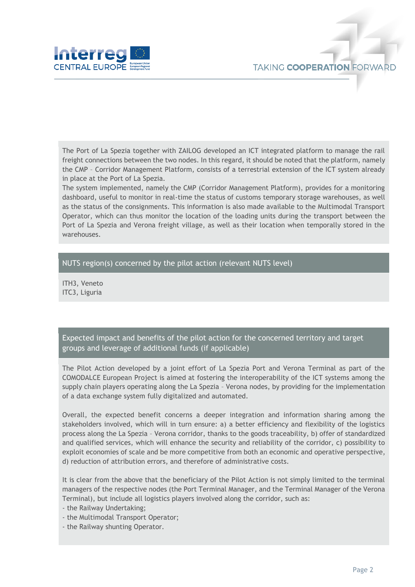

The Port of La Spezia together with ZAILOG developed an ICT integrated platform to manage the rail freight connections between the two nodes. In this regard, it should be noted that the platform, namely the CMP – Corridor Management Platform, consists of a terrestrial extension of the ICT system already in place at the Port of La Spezia.

The system implemented, namely the CMP (Corridor Management Platform), provides for a monitoring dashboard, useful to monitor in real-time the status of customs temporary storage warehouses, as well as the status of the consignments. This information is also made available to the Multimodal Transport Operator, which can thus monitor the location of the loading units during the transport between the Port of La Spezia and Verona freight village, as well as their location when temporally stored in the warehouses.

#### NUTS region(s) concerned by the pilot action (relevant NUTS level)

ITH3, Veneto ITC3, Liguria

Expected impact and benefits of the pilot action for the concerned territory and target groups and leverage of additional funds (if applicable)

The Pilot Action developed by a joint effort of La Spezia Port and Verona Terminal as part of the COMODALCE European Project is aimed at fostering the interoperability of the ICT systems among the supply chain players operating along the La Spezia – Verona nodes, by providing for the implementation of a data exchange system fully digitalized and automated.

Overall, the expected benefit concerns a deeper integration and information sharing among the stakeholders involved, which will in turn ensure: a) a better efficiency and flexibility of the logistics process along the La Spezia – Verona corridor, thanks to the goods traceability, b) offer of standardized and qualified services, which will enhance the security and reliability of the corridor, c) possibility to exploit economies of scale and be more competitive from both an economic and operative perspective, d) reduction of attribution errors, and therefore of administrative costs.

It is clear from the above that the beneficiary of the Pilot Action is not simply limited to the terminal managers of the respective nodes (the Port Terminal Manager, and the Terminal Manager of the Verona Terminal), but include all logistics players involved along the corridor, such as:

- the Railway Undertaking;

- the Multimodal Transport Operator;

- the Railway shunting Operator.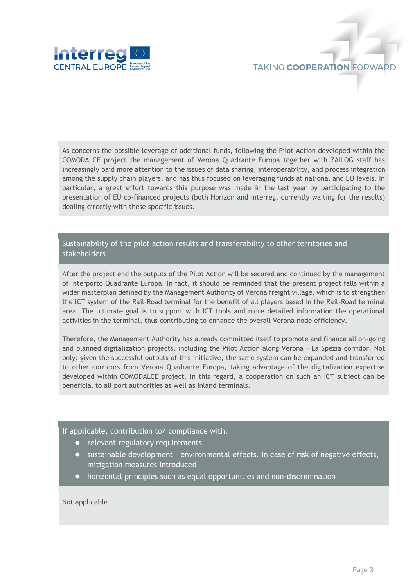

As concerns the possible leverage of additional funds, following the Pilot Action developed within the COMODALCE project the management of Verona Quadrante Europa together with ZAILOG staff has increasingly paid more attention to the issues of data sharing, interoperability, and process integration among the supply chain players, and has thus focused on leveraging funds at national and EU levels. In particular, a great effort towards this purpose was made in the last year by participating to the presentation of EU co-financed projects (both Horizon and Interreg, currently waiting for the results) dealing directly with these specific issues.

### Sustainability of the pilot action results and transferability to other territories and stakeholders

After the project end the outputs of the Pilot Action will be secured and continued by the management of Interporto Quadrante Europa. In fact, it should be reminded that the present project falls within a wider masterplan defined by the Management Authority of Verona freight village, which is to strengthen the ICT system of the Rail-Road terminal for the benefit of all players based in the Rail-Road terminal area. The ultimate goal is to support with ICT tools and more detailed information the operational activities in the terminal, thus contributing to enhance the overall Verona node efficiency.

Therefore, the Management Authority has already committed itself to promote and finance all on-going and planned digitalization projects, including the Pilot Action along Verona – La Spezia corridor. Not only: given the successful outputs of this initiative, the same system can be expanded and transferred to other corridors from Verona Quadrante Europa, taking advantage of the digitalization expertise developed within COMODALCE project. In this regard, a cooperation on such an ICT subject can be beneficial to all port authorities as well as inland terminals.

#### If applicable, contribution to/ compliance with:

- relevant regulatory requirements
- sustainable development environmental effects. In case of risk of negative effects, mitigation measures introduced
- horizontal principles such as equal opportunities and non-discrimination

Not applicable